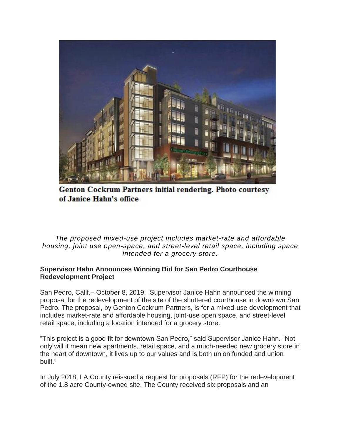

Genton Cockrum Partners initial rendering. Photo courtesy of Janice Hahn's office

*The proposed mixed-use project includes market-rate and affordable housing, joint use open-space, and street-level retail space, including space intended for a grocery store.*

## **Supervisor Hahn Announces Winning Bid for San Pedro Courthouse Redevelopment Project**

San Pedro, Calif.– October 8, 2019: Supervisor Janice Hahn announced the winning proposal for the redevelopment of the site of the shuttered courthouse in downtown San Pedro. The proposal, by Genton Cockrum Partners, is for a mixed-use development that includes market-rate and affordable housing, joint-use open space, and street-level retail space, including a location intended for a grocery store.

"This project is a good fit for downtown San Pedro," said Supervisor Janice Hahn. "Not only will it mean new apartments, retail space, and a much-needed new grocery store in the heart of downtown, it lives up to our values and is both union funded and union built."

In July 2018, LA County reissued a request for proposals (RFP) for the redevelopment of the 1.8 acre County-owned site. The County received six proposals and an